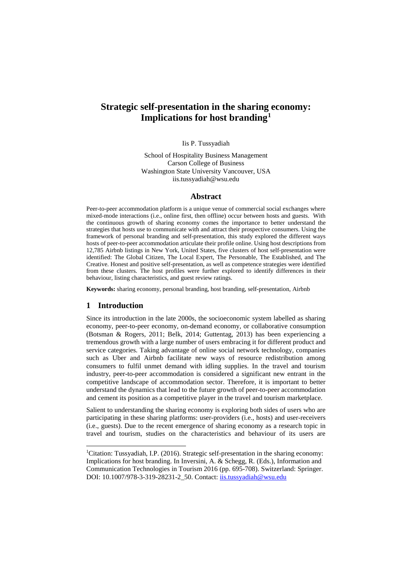# **Strategic self-presentation in the sharing economy: Implications for host branding[1](#page-0-0)**

Iis P. Tussyadiah

School of Hospitality Business Management Carson College of Business Washington State University Vancouver, USA iis.tussyadiah@wsu.edu

#### **Abstract**

Peer-to-peer accommodation platform is a unique venue of commercial social exchanges where mixed-mode interactions (i.e., online first, then offline) occur between hosts and guests. With the continuous growth of sharing economy comes the importance to better understand the strategies that hosts use to communicate with and attract their prospective consumers. Using the framework of personal branding and self-presentation, this study explored the different ways hosts of peer-to-peer accommodation articulate their profile online. Using host descriptions from 12,785 Airbnb listings in New York, United States, five clusters of host self-presentation were identified: The Global Citizen, The Local Expert, The Personable, The Established, and The Creative. Honest and positive self-presentation, as well as competence strategies were identified from these clusters. The host profiles were further explored to identify differences in their behaviour, listing characteristics, and guest review ratings.

**Keywords:** sharing economy, personal branding, host branding, self-presentation, Airbnb

### **1 Introduction**

Since its introduction in the late 2000s, the socioeconomic system labelled as sharing economy, peer-to-peer economy, on-demand economy, or collaborative consumption (Botsman & Rogers, 2011; Belk, 2014; Guttentag, 2013) has been experiencing a tremendous growth with a large number of users embracing it for different product and service categories. Taking advantage of online social network technology, companies such as Uber and Airbnb facilitate new ways of resource redistribution among consumers to fulfil unmet demand with idling supplies. In the travel and tourism industry, peer-to-peer accommodation is considered a significant new entrant in the competitive landscape of accommodation sector. Therefore, it is important to better understand the dynamics that lead to the future growth of peer-to-peer accommodation and cement its position as a competitive player in the travel and tourism marketplace.

Salient to understanding the sharing economy is exploring both sides of users who are participating in these sharing platforms: user-providers (i.e., hosts) and user-receivers (i.e., guests). Due to the recent emergence of sharing economy as a research topic in travel and tourism, studies on the characteristics and behaviour of its users are

<span id="page-0-0"></span><sup>|&</sup>lt;br>|<br>| <sup>1</sup>Citation: Tussyadiah, I.P. (2016). Strategic self-presentation in the sharing economy: Implications for host branding. In Inversini, A. & Schegg, R. (Eds.), Information and Communication Technologies in Tourism 2016 (pp. 695-708). Switzerland: Springer. DOI: 10.1007/978-3-319-28231-2\_50. Contact: [iis.tussyadiah@wsu.edu](mailto:iis.tussyadiah@wsu.edu)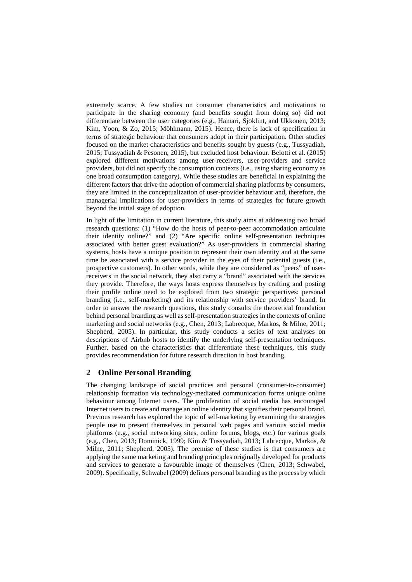extremely scarce. A few studies on consumer characteristics and motivations to participate in the sharing economy (and benefits sought from doing so) did not differentiate between the user categories (e.g., Hamari, Sjöklint, and Ukkonen, 2013; Kim, Yoon, & Zo, 2015; Möhlmann, 2015). Hence, there is lack of specification in terms of strategic behaviour that consumers adopt in their participation. Other studies focused on the market characteristics and benefits sought by guests (e.g., Tussyadiah, 2015; Tussyadiah & Pesonen, 2015), but excluded host behaviour. Belotti et al. (2015) explored different motivations among user-receivers, user-providers and service providers, but did not specify the consumption contexts (i.e., using sharing economy as one broad consumption category). While these studies are beneficial in explaining the different factors that drive the adoption of commercial sharing platforms by consumers, they are limited in the conceptualization of user-provider behaviour and, therefore, the managerial implications for user-providers in terms of strategies for future growth beyond the initial stage of adoption.

In light of the limitation in current literature, this study aims at addressing two broad research questions: (1) "How do the hosts of peer-to-peer accommodation articulate their identity online?" and (2) "Are specific online self-presentation techniques associated with better guest evaluation?" As user-providers in commercial sharing systems, hosts have a unique position to represent their own identity and at the same time be associated with a service provider in the eyes of their potential guests (i.e., prospective customers). In other words, while they are considered as "peers" of userreceivers in the social network, they also carry a "brand" associated with the services they provide. Therefore, the ways hosts express themselves by crafting and posting their profile online need to be explored from two strategic perspectives: personal branding (i.e., self-marketing) and its relationship with service providers' brand. In order to answer the research questions, this study consults the theoretical foundation behind personal branding as well as self-presentation strategies in the contexts of online marketing and social networks (e.g., Chen, 2013; Labrecque, Markos, & Milne, 2011; Shepherd, 2005). In particular, this study conducts a series of text analyses on descriptions of Airbnb hosts to identify the underlying self-presentation techniques. Further, based on the characteristics that differentiate these techniques, this study provides recommendation for future research direction in host branding.

# **2 Online Personal Branding**

The changing landscape of social practices and personal (consumer-to-consumer) relationship formation via technology-mediated communication forms unique online behaviour among Internet users. The proliferation of social media has encouraged Internet users to create and manage an online identity that signifies their personal brand. Previous research has explored the topic of self-marketing by examining the strategies people use to present themselves in personal web pages and various social media platforms (e.g., social networking sites, online forums, blogs, etc.) for various goals (e.g., Chen, 2013; Dominick, 1999; Kim & Tussyadiah, 2013; Labrecque, Markos, & Milne, 2011; Shepherd, 2005). The premise of these studies is that consumers are applying the same marketing and branding principles originally developed for products and services to generate a favourable image of themselves (Chen, 2013; Schwabel, 2009). Specifically, Schwabel (2009) defines personal branding as the process by which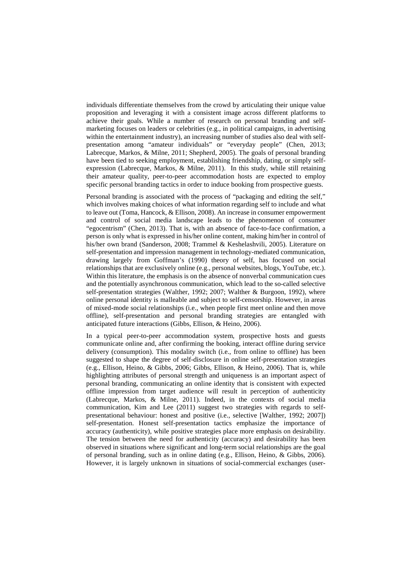individuals differentiate themselves from the crowd by articulating their unique value proposition and leveraging it with a consistent image across different platforms to achieve their goals. While a number of research on personal branding and selfmarketing focuses on leaders or celebrities (e.g., in political campaigns, in advertising within the entertainment industry), an increasing number of studies also deal with selfpresentation among "amateur individuals" or "everyday people" (Chen, 2013; Labrecque, Markos, & Milne, 2011; Shepherd, 2005). The goals of personal branding have been tied to seeking employment, establishing friendship, dating, or simply selfexpression (Labrecque, Markos, & Milne, 2011). In this study, while still retaining their amateur quality, peer-to-peer accommodation hosts are expected to employ specific personal branding tactics in order to induce booking from prospective guests.

Personal branding is associated with the process of "packaging and editing the self," which involves making choices of what information regarding self to include and what to leave out (Toma, Hancock, & Ellison, 2008). An increase in consumer empowerment and control of social media landscape leads to the phenomenon of consumer "egocentrism" (Chen, 2013). That is, with an absence of face-to-face confirmation, a person is only what is expressed in his/her online content, making him/her in control of his/her own brand (Sanderson, 2008; Trammel & Keshelashvili, 2005). Literature on self-presentation and impression management in technology-mediated communication, drawing largely from Goffman's (1990) theory of self, has focused on social relationships that are exclusively online (e.g., personal websites, blogs, YouTube, etc.). Within this literature, the emphasis is on the absence of nonverbal communication cues and the potentially asynchronous communication, which lead to the so-called selective self-presentation strategies (Walther, 1992; 2007; Walther & Burgoon, 1992), where online personal identity is malleable and subject to self-censorship. However, in areas of mixed-mode social relationships (i.e., when people first meet online and then move offline), self-presentation and personal branding strategies are entangled with anticipated future interactions (Gibbs, Ellison, & Heino, 2006).

In a typical peer-to-peer accommodation system, prospective hosts and guests communicate online and, after confirming the booking, interact offline during service delivery (consumption). This modality switch (i.e., from online to offline) has been suggested to shape the degree of self-disclosure in online self-presentation strategies (e.g., Ellison, Heino, & Gibbs, 2006; Gibbs, Ellison, & Heino, 2006). That is, while highlighting attributes of personal strength and uniqueness is an important aspect of personal branding, communicating an online identity that is consistent with expected offline impression from target audience will result in perception of authenticity (Labrecque, Markos, & Milne, 2011). Indeed, in the contexts of social media communication, Kim and Lee (2011) suggest two strategies with regards to selfpresentational behaviour: honest and positive (i.e., selective [Walther, 1992; 2007]) self-presentation. Honest self-presentation tactics emphasize the importance of accuracy (authenticity), while positive strategies place more emphasis on desirability. The tension between the need for authenticity (accuracy) and desirability has been observed in situations where significant and long-term social relationships are the goal of personal branding, such as in online dating (e.g., Ellison, Heino, & Gibbs, 2006). However, it is largely unknown in situations of social-commercial exchanges (user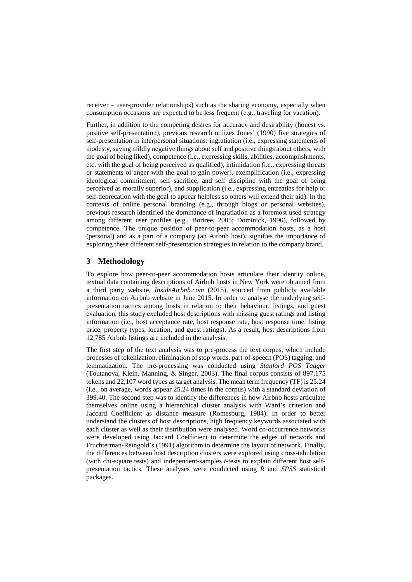receiver – user-provider relationships) such as the sharing economy, especially when consumption occasions are expected to be less frequent (e.g., traveling for vacation).

Further, in addition to the competing desires for accuracy and desirability (honest vs. positive self-presentation), previous research utilizes Jones' (1990) five strategies of self-presentation in interpersonal situations: ingratiation (i.e., expressing statements of modesty, saying mildly negative things about self and positive things about others, with the goal of being liked), competence (i.e., expressing skills, abilities, accomplishments, etc. with the goal of being perceived as qualified), intimidation (i.e., expressing threats or statements of anger with the goal to gain power), exemplification (i.e., expressing ideological commitment, self sacrifice, and self discipline with the goal of being perceived as morally superior), and supplication (i.e., expressing entreaties for help or self-deprecation with the goal to appear helpless so others will extend their aid). In the contexts of online personal branding (e.g., through blogs or personal websites), previous research identified the dominance of ingratiation as a foremost used strategy among different user profiles (e.g., Bortree, 2005; Dominick, 1990), followed by competence. The unique position of peer-to-peer accommodation hosts, as a host (personal) and as a part of a company (an Airbnb host), signifies the importance of exploring these different self-presentation strategies in relation to the company brand.

# **3 Methodology**

To explore how peer-to-peer accommodation hosts articulate their identity online, textual data containing descriptions of Airbnb hosts in New York were obtained from a third party website, *InsideAirbnb.com* (2015), sourced from publicly available information on Airbnb website in June 2015. In order to analyse the underlying selfpresentation tactics among hosts in relation to their behaviour, listings, and guest evaluation, this study excluded host descriptions with missing guest ratings and listing information (i.e., host acceptance rate, host response rate, host response time, listing price, property types, location, and guest ratings). As a result, host descriptions from 12,785 Airbnb listings are included in the analysis.

The first step of the text analysis was to pre-process the text corpus, which include processes of tokenization, elimination of stop words, part-of-speech (POS) tagging, and lemmatization. The pre-processing was conducted using *Stanford POS Tagger* (Toutanova, Klein, Manning, & Singer, 2003). The final corpus consists of 897,175 tokens and 22,107 word types as target analysis. The mean term frequency (TF) is 25.24 (i.e., on average, words appear 25.24 times in the corpus) with a standard deviation of 399.40. The second step was to identify the differences in how Airbnb hosts articulate themselves online using a hierarchical cluster analysis with Ward's criterion and Jaccard Coefficient as distance measure (Romesburg, 1984). In order to better understand the clusters of host descriptions, high frequency keywords associated with each cluster as well as their distribution were analysed. Word co-occurrence networks were developed using Jaccard Coefficient to determine the edges of network and Fruchterman-Reingold's (1991) algorithm to determine the layout of network. Finally, the differences between host description clusters were explored using cross-tabulation (with chi-square tests) and independent-samples *t*-tests to explain different host selfpresentation tactics. These analyses were conducted using *R* and *SPSS* statistical packages.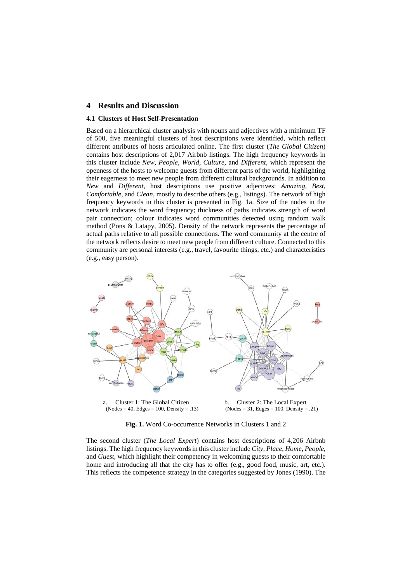### **4 Results and Discussion**

#### **4.1 Clusters of Host Self-Presentation**

Based on a hierarchical cluster analysis with nouns and adjectives with a minimum TF of 500, five meaningful clusters of host descriptions were identified, which reflect different attributes of hosts articulated online. The first cluster (*The Global Citizen*) contains host descriptions of 2,017 Airbnb listings. The high frequency keywords in this cluster include *New*, *People*, *World*, *Culture*, and *Different*, which represent the openness of the hosts to welcome guests from different parts of the world, highlighting their eagerness to meet new people from different cultural backgrounds. In addition to *New* and *Different*, host descriptions use positive adjectives: *Amazing*, *Best*, *Comfortable*, and *Clean*, mostly to describe others (e.g., listings). The network of high frequency keywords in this cluster is presented in Fig. 1a. Size of the nodes in the network indicates the word frequency; thickness of paths indicates strength of word pair connection; colour indicates word communities detected using random walk method (Pons & Latapy, 2005). Density of the network represents the percentage of actual paths relative to all possible connections. The word community at the centre of the network reflects desire to meet new people from different culture. Connected to this community are personal interests (e.g., travel, favourite things, etc.) and characteristics (e.g., easy person).



**Fig. 1.** Word Co-occurrence Networks in Clusters 1 and 2

The second cluster (*The Local Expert*) contains host descriptions of 4,206 Airbnb listings. The high frequency keywords in this cluster include *City*, *Place*, *Home*, *People*, and *Guest*, which highlight their competency in welcoming guests to their comfortable home and introducing all that the city has to offer (e.g., good food, music, art, etc.). This reflects the competence strategy in the categories suggested by Jones (1990). The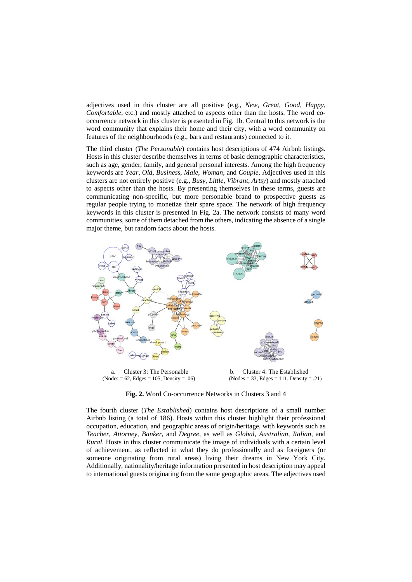adjectives used in this cluster are all positive (e.g., *New*, *Great*, *Good*, *Happy*, *Comfortable*, etc.) and mostly attached to aspects other than the hosts. The word cooccurrence network in this cluster is presented in Fig. 1b. Central to this network is the word community that explains their home and their city, with a word community on features of the neighbourhoods (e.g., bars and restaurants) connected to it.

The third cluster (*The Personable*) contains host descriptions of 474 Airbnb listings. Hosts in this cluster describe themselves in terms of basic demographic characteristics, such as age, gender, family, and general personal interests. Among the high frequency keywords are *Year*, *Old*, *Business*, *Male*, *Woman,* and *Couple*. Adjectives used in this clusters are not entirely positive (e.g., *Busy*, *Little*, *Vibrant*, *Artsy*) and mostly attached to aspects other than the hosts. By presenting themselves in these terms, guests are communicating non-specific, but more personable brand to prospective guests as regular people trying to monetize their spare space. The network of high frequency keywords in this cluster is presented in Fig. 2a. The network consists of many word communities, some of them detached from the others, indicating the absence of a single major theme, but random facts about the hosts.



 $(Nodes = 62, Edges = 105, Density = .06)$ 

b. Cluster 4: The Established  $(Nodes = 33, Edges = 111, Density = .21)$ 

**Fig. 2.** Word Co-occurrence Networks in Clusters 3 and 4

The fourth cluster (*The Established*) contains host descriptions of a small number Airbnb listing (a total of 186). Hosts within this cluster highlight their professional occupation, education, and geographic areas of origin/heritage, with keywords such as *Teacher, Attorney*, *Banker*, and *Degree,* as well as *Global, Australian, Italian,* and *Rural*. Hosts in this cluster communicate the image of individuals with a certain level of achievement, as reflected in what they do professionally and as foreigners (or someone originating from rural areas) living their dreams in New York City. Additionally, nationality/heritage information presented in host description may appeal to international guests originating from the same geographic areas. The adjectives used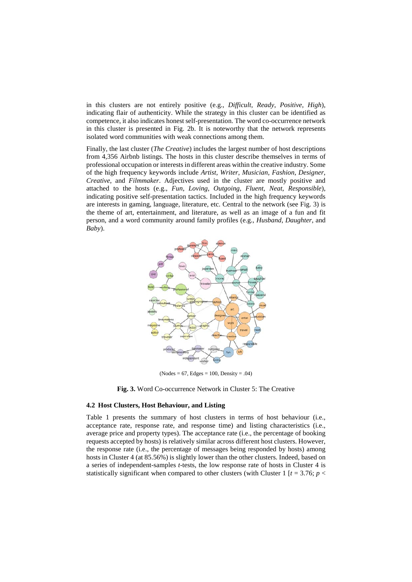in this clusters are not entirely positive (e.g., *Difficult*, *Ready*, *Positive*, *High*), indicating flair of authenticity. While the strategy in this cluster can be identified as competence, it also indicates honest self-presentation. The word co-occurrence network in this cluster is presented in Fig. 2b. It is noteworthy that the network represents isolated word communities with weak connections among them.

Finally, the last cluster (*The Creative*) includes the largest number of host descriptions from 4,356 Airbnb listings. The hosts in this cluster describe themselves in terms of professional occupation or interests in different areas within the creative industry. Some of the high frequency keywords include *Artist*, *Writer*, *Musician*, *Fashion*, *Designer*, *Creative*, and *Filmmaker*. Adjectives used in the cluster are mostly positive and attached to the hosts (e.g., *Fun*, *Loving*, *Outgoing*, *Fluent*, *Neat*, *Responsible*), indicating positive self-presentation tactics. Included in the high frequency keywords are interests in gaming, language, literature, etc. Central to the network (see Fig. 3) is the theme of art, entertainment, and literature, as well as an image of a fun and fit person, and a word community around family profiles (e.g., *Husband*, *Daughter*, and *Baby*).



 $(Nodes = 67, Edges = 100, Density = .04)$ 

**Fig. 3.** Word Co-occurrence Network in Cluster 5: The Creative

#### **4.2 Host Clusters, Host Behaviour, and Listing**

Table 1 presents the summary of host clusters in terms of host behaviour (i.e., acceptance rate, response rate, and response time) and listing characteristics (i.e., average price and property types). The acceptance rate (i.e., the percentage of booking requests accepted by hosts) is relatively similar across different host clusters. However, the response rate (i.e., the percentage of messages being responded by hosts) among hosts in Cluster 4 (at 85.56%) is slightly lower than the other clusters. Indeed, based on a series of independent-samples *t*-tests, the low response rate of hosts in Cluster 4 is statistically significant when compared to other clusters (with Cluster 1  $[t = 3.76; p <$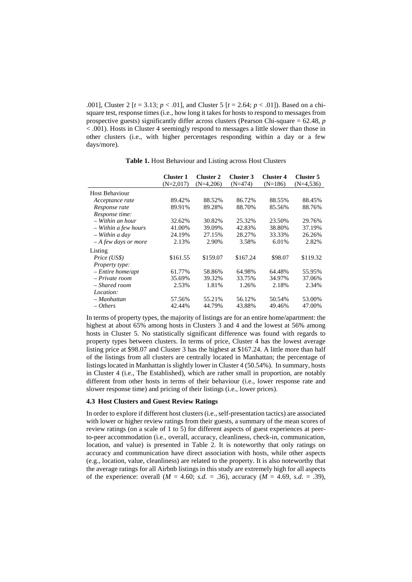.001], Cluster 2  $[t = 3.13; p < .01]$ , and Cluster 5  $[t = 2.64; p < .01]$ ). Based on a chisquare test, response times (i.e., how long it takes for hosts to respond to messages from prospective guests) significantly differ across clusters (Pearson Chi-square = 62.48, *p* < .001). Hosts in Cluster 4 seemingly respond to messages a little slower than those in other clusters (i.e., with higher percentages responding within a day or a few days/more).

|                       | <b>Cluster 1</b><br>$(N=2.017)$ | <b>Cluster 2</b><br>$(N=4,206)$ | Cluster 3<br>$(N=474)$ | Cluster 4<br>$(N=186)$ | Cluster 5<br>$(N=4,536)$ |
|-----------------------|---------------------------------|---------------------------------|------------------------|------------------------|--------------------------|
| Host Behaviour        |                                 |                                 |                        |                        |                          |
| Acceptance rate       | 89.42%                          | 88.52%                          | 86.72%                 | 88.55%                 | 88.45%                   |
| Response rate         | 89.91%                          | 89.28%                          | 88.70%                 | 85.56%                 | 88.76%                   |
| Response time:        |                                 |                                 |                        |                        |                          |
| $-$ Within an hour    | 32.62%                          | 30.82%                          | 25.32%                 | 23.50%                 | 29.76%                   |
| – Within a few hours  | 41.00%                          | 39.09%                          | 42.83%                 | 38.80%                 | 37.19%                   |
| $-$ Within a day      | 24.19%                          | 27.15%                          | 28.27%                 | 33.33%                 | 26.26%                   |
| $-A$ few days or more | 2.13%                           | 2.90%                           | 3.58%                  | 6.01%                  | 2.82%                    |
| Listing               |                                 |                                 |                        |                        |                          |
| Price (US\$)          | \$161.55                        | \$159.07                        | \$167.24               | \$98.07                | \$119.32                 |
| <i>Property type:</i> |                                 |                                 |                        |                        |                          |
| $-$ Entire home/apt   | 61.77%                          | 58.86%                          | 64.98%                 | 64.48%                 | 55.95%                   |
| – Private room        | 35.69%                          | 39.32%                          | 33.75%                 | 34.97%                 | 37.06%                   |
| – Shared room         | 2.53%                           | 1.81%                           | 1.26%                  | 2.18%                  | 2.34%                    |
| Location:             |                                 |                                 |                        |                        |                          |
| – Manhattan           | 57.56%                          | 55.21%                          | 56.12%                 | 50.54%                 | 53.00%                   |
| $- Others$            | 42.44%                          | 44.79%                          | 43.88%                 | 49.46%                 | 47.00%                   |

**Table 1.** Host Behaviour and Listing across Host Clusters

In terms of property types, the majority of listings are for an entire home/apartment: the highest at about 65% among hosts in Clusters 3 and 4 and the lowest at 56% among hosts in Cluster 5. No statistically significant difference was found with regards to property types between clusters. In terms of price, Cluster 4 has the lowest average listing price at \$98.07 and Cluster 3 has the highest at \$167.24. A little more than half of the listings from all clusters are centrally located in Manhattan; the percentage of listings located in Manhattan is slightly lower in Cluster 4 (50.54%). In summary, hosts in Cluster 4 (i.e., The Established), which are rather small in proportion, are notably different from other hosts in terms of their behaviour (i.e., lower response rate and slower response time) and pricing of their listings (i.e., lower prices).

#### **4.3 Host Clusters and Guest Review Ratings**

In order to explore if different host clusters (i.e., self-presentation tactics) are associated with lower or higher review ratings from their guests, a summary of the mean scores of review ratings (on a scale of 1 to 5) for different aspects of guest experiences at peerto-peer accommodation (i.e., overall, accuracy, cleanliness, check-in, communication, location, and value) is presented in Table 2. It is noteworthy that only ratings on accuracy and communication have direct association with hosts, while other aspects (e.g., location, value, cleanliness) are related to the property. It is also noteworthy that the average ratings for all Airbnb listings in this study are extremely high for all aspects of the experience: overall  $(M = 4.60; s.d. = .36)$ , accuracy  $(M = 4.69, s.d. = .39)$ ,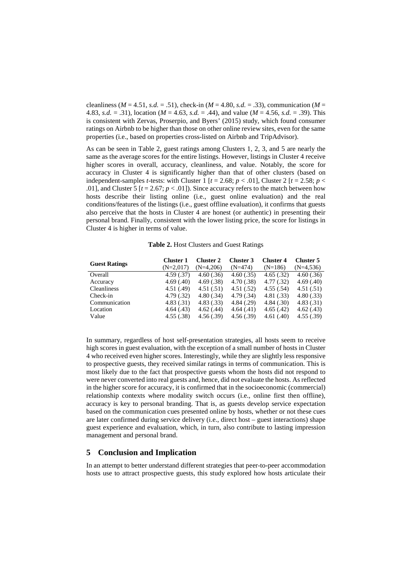cleanliness ( $M = 4.51$ , *s.d.* = .51), check-in ( $M = 4.80$ , *s.d.* = .33), communication ( $M =$ 4.83, *s.d.* = .31), location (*M* = 4.63, *s.d.* = .44), and value (*M* = 4.56, *s.d.* = .39). This is consistent with Zervas, Proserpio, and Byers' (2015) study, which found consumer ratings on Airbnb to be higher than those on other online review sites, even for the same properties (i.e., based on properties cross-listed on Airbnb and TripAdvisor).

As can be seen in Table 2, guest ratings among Clusters 1, 2, 3, and 5 are nearly the same as the average scores for the entire listings. However, listings in Cluster 4 receive higher scores in overall, accuracy, cleanliness, and value. Notably, the score for accuracy in Cluster 4 is significantly higher than that of other clusters (based on independent-samples *t*-tests: with Cluster 1  $[t = 2.68; p < .01]$ , Cluster 2  $[t = 2.58; p < .01]$ .01], and Cluster 5  $[t = 2.67; p < .01]$ ). Since accuracy refers to the match between how hosts describe their listing online (i.e., guest online evaluation) and the real conditions/features of the listings (i.e., guest offline evaluation), it confirms that guests also perceive that the hosts in Cluster 4 are honest (or authentic) in presenting their personal brand. Finally, consistent with the lower listing price, the score for listings in Cluster 4 is higher in terms of value.

| <b>Guest Ratings</b> | <b>Cluster 1</b> | Cluster 2   | Cluster 3  | <b>Cluster 4</b> | Cluster 5   |
|----------------------|------------------|-------------|------------|------------------|-------------|
|                      | $(N=2,017)$      | $(N=4.206)$ | $(N=474)$  | $(N=186)$        | $(N=4,536)$ |
| Overall              | 4.59(.37)        | 4.60(.36)   | 4.60(.35)  | 4.65(.32)        | 4.60(.36)   |
| Accuracy             | 4.69(0.40)       | 4.69(.38)   | 4.70(.38)  | 4.77(0.32)       | 4.69(.40)   |
| <b>Cleanliness</b>   | 4.51(0.49)       | 4.51(.51)   | 4.51(.52)  | 4.55(.54)        | 4.51(.51)   |
| Check-in             | 4.79(.32)        | 4.80(.34)   | 4.79(.34)  | 4.81 (.33)       | 4.80(.33)   |
| Communication        | 4.83(.31)        | 4.83(.33)   | 4.84(.29)  | 4.84(.30)        | 4.83(.31)   |
| Location             | 4.64(0.43)       | 4.62(0.44)  | 4.64(0.41) | 4.65(.42)        | 4.62(0.43)  |
| Value                | 4.55(.38)        | 4.56(.39)   | 4.56(.39)  | 4.61(.40)        | 4.55(.39)   |

In summary, regardless of host self-presentation strategies, all hosts seem to receive high scores in guest evaluation, with the exception of a small number of hosts in Cluster 4 who received even higher scores. Interestingly, while they are slightly less responsive to prospective guests, they received similar ratings in terms of communication. This is most likely due to the fact that prospective guests whom the hosts did not respond to were never converted into real guests and, hence, did not evaluate the hosts. As reflected in the higher score for accuracy, it is confirmed that in the socioeconomic (commercial) relationship contexts where modality switch occurs (i.e., online first then offline), accuracy is key to personal branding. That is, as guests develop service expectation based on the communication cues presented online by hosts, whether or not these cues are later confirmed during service delivery (i.e., direct host – guest interactions) shape guest experience and evaluation, which, in turn, also contribute to lasting impression management and personal brand.

### **5 Conclusion and Implication**

In an attempt to better understand different strategies that peer-to-peer accommodation hosts use to attract prospective guests, this study explored how hosts articulate their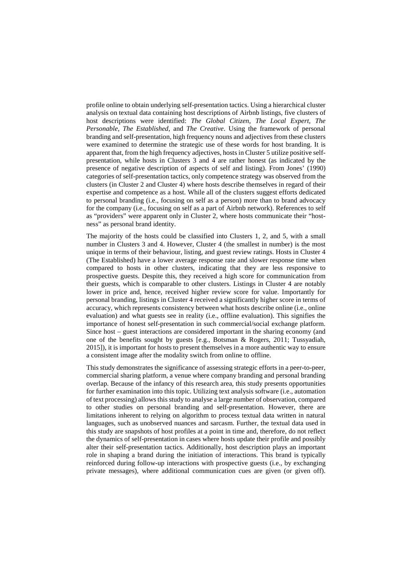profile online to obtain underlying self-presentation tactics. Using a hierarchical cluster analysis on textual data containing host descriptions of Airbnb listings, five clusters of host descriptions were identified: *The Global Citizen*, *The Local Expert*, *The Personable*, *The Established*, and *The Creative*. Using the framework of personal branding and self-presentation, high frequency nouns and adjectives from these clusters were examined to determine the strategic use of these words for host branding. It is apparent that, from the high frequency adjectives, hosts in Cluster 5 utilize positive selfpresentation, while hosts in Clusters 3 and 4 are rather honest (as indicated by the presence of negative description of aspects of self and listing). From Jones' (1990) categories of self-presentation tactics, only competence strategy was observed from the clusters (in Cluster 2 and Cluster 4) where hosts describe themselves in regard of their expertise and competence as a host. While all of the clusters suggest efforts dedicated to personal branding (i.e., focusing on self as a person) more than to brand advocacy for the company (i.e., focusing on self as a part of Airbnb network). References to self as "providers" were apparent only in Cluster 2, where hosts communicate their "hostness" as personal brand identity.

The majority of the hosts could be classified into Clusters 1, 2, and 5, with a small number in Clusters 3 and 4. However, Cluster 4 (the smallest in number) is the most unique in terms of their behaviour, listing, and guest review ratings. Hosts in Cluster 4 (The Established) have a lower average response rate and slower response time when compared to hosts in other clusters, indicating that they are less responsive to prospective guests. Despite this, they received a high score for communication from their guests, which is comparable to other clusters. Listings in Cluster 4 are notably lower in price and, hence, received higher review score for value. Importantly for personal branding, listings in Cluster 4 received a significantly higher score in terms of accuracy, which represents consistency between what hosts describe online (i.e., online evaluation) and what guests see in reality (i.e., offline evaluation). This signifies the importance of honest self-presentation in such commercial/social exchange platform. Since host – guest interactions are considered important in the sharing economy (and one of the benefits sought by guests [e.g., Botsman & Rogers, 2011; Tussyadiah, 2015]), it is important for hosts to present themselves in a more authentic way to ensure a consistent image after the modality switch from online to offline.

This study demonstrates the significance of assessing strategic efforts in a peer-to-peer, commercial sharing platform, a venue where company branding and personal branding overlap. Because of the infancy of this research area, this study presents opportunities for further examination into this topic. Utilizing text analysis software (i.e., automation of text processing) allows this study to analyse a large number of observation, compared to other studies on personal branding and self-presentation. However, there are limitations inherent to relying on algorithm to process textual data written in natural languages, such as unobserved nuances and sarcasm. Further, the textual data used in this study are snapshots of host profiles at a point in time and, therefore, do not reflect the dynamics of self-presentation in cases where hosts update their profile and possibly alter their self-presentation tactics. Additionally, host description plays an important role in shaping a brand during the initiation of interactions. This brand is typically reinforced during follow-up interactions with prospective guests (i.e., by exchanging private messages), where additional communication cues are given (or given off).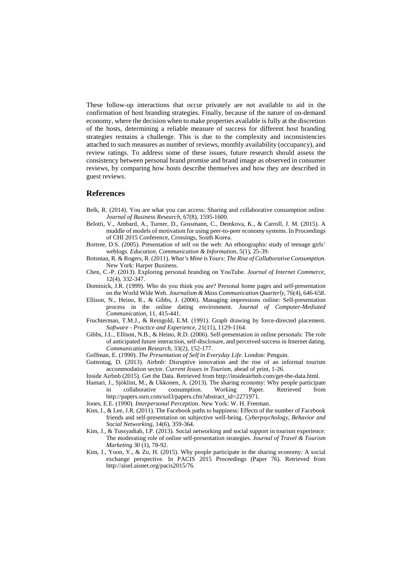These follow-up interactions that occur privately are not available to aid in the confirmation of host branding strategies. Finally, because of the nature of on-demand economy, where the decision when to make properties available is fully at the discretion of the hosts, determining a reliable measure of success for different host branding strategies remains a challenge. This is due to the complexity and inconsistencies attached to such measures as number of reviews, monthly availability (occupancy), and review ratings. To address some of these issues, future research should assess the consistency between personal brand promise and brand image as observed in consumer reviews, by comparing how hosts describe themselves and how they are described in guest reviews.

#### **References**

- Belk, R. (2014). You are what you can access: Sharing and collaborative consumption online. *Journal of Business Research,* 67(8), 1595-1600.
- Belotti, V., Ambard, A., Turner, D., Gossmann, C., Demkova, K., & Carroll, J. M. (2015). A muddle of models of motivation for using peer-to-peer economy systems. In Proceedings of CHI 2015 Conference, Crossings, South Korea.
- Bortree, D.S. (2005). Presentation of self on the web: An ethnographic study of teenage girls' weblogs. *Education, Communication & Information*, 5(1), 25-39.
- Botsman, R. & Rogers, R. (2011). *What's Mine is Yours: The Rise of Collaborative Consumption*. New York: Harper Business.
- Chen, C.-P. (2013). Exploring personal branding on YouTube. *Journal of Internet Commerce*, 12(4), 332-347.
- Dominick, J.R. (1999). Who do you think you are? Personal home pages and self-presentation on the World Wide Web. *Journalism & Mass Communication Quarterly*, 76(4), 646-658.
- Ellison, N., Heino, R., & Gibbs, J. (2006). Managing impressions online: Self-presentation process in the online dating environment. *Journal of Computer-Mediated Communication*, 11, 415-441.
- Fruchterman, T.M.J., & Reingold, E.M. (1991). Graph drawing by force-directed placement. *Software - Practice and Experience*, 21(11), 1129-1164.
- Gibbs, J.L., Ellison, N.B., & Heino, R.D. (2006). Self-presentation in online personals: The role of anticipated future interaction, self-disclosure, and perceived success in Internet dating. *Communication Research*, 33(2), 152-177.
- Goffman, E. (1990). *The Presentation of Self in Everyday Life*. London: Penguin.
- Guttentag, D. (2013). Airbnb: Disruptive innovation and the rise of an informal tourism accommodation sector. *Current Issues in Tourism*, ahead of print, 1-26.
- Inside Airbnb (2015). Get the Data. Retrieved from http://insideairbnb.com/get-the-data.html.
- Hamari, J., Sjöklint, M., & Ukkonen, A. (2013). The sharing economy: Why people participate in collaborative consumption. Working Paper. Retrieved from [http://papers.ssrn.com/sol3/papers.cfm?abstract\\_id=2271971.](http://papers.ssrn.com/sol3/papers.cfm?abstract_id=2271971)
- Jones, E.E. (1990). *Interpersonal Perception*. New York: W. H. Freeman.
- Kim, J., & Lee, J.R. (2011). The Facebook paths to happiness: Effects of the number of Facebook friends and self-presentation on subjective well-being. *Cyberpsychology, Behavior and Social Networking*, 14(6), 359-364.
- Kim, J., & Tussyadiah, I.P. (2013). Social networking and social support in tourism experience: The moderating role of online self-presentation strategies. *Journal of Travel & Tourism Marketing* 30 (1), 78-92.
- Kim, J., Yoon, Y., & Zo, H. (2015). Why people participate in the sharing economy: A social exchange perspective. In PACIS 2015 Proceedings (Paper 76). Retrieved from http://aisel.aisnet.org/pacis2015/76.